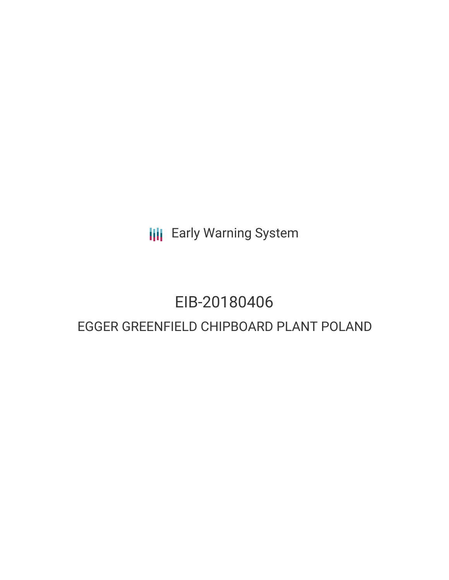**III** Early Warning System

### EIB-20180406

### EGGER GREENFIELD CHIPBOARD PLANT POLAND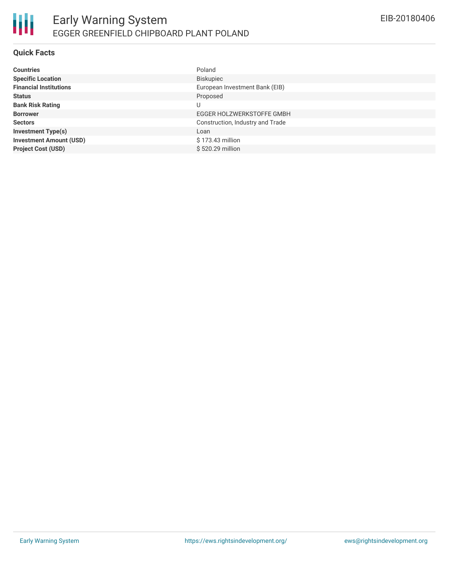#### **Quick Facts**

| <b>Countries</b>               | Poland                           |
|--------------------------------|----------------------------------|
| <b>Specific Location</b>       | Biskupiec                        |
| <b>Financial Institutions</b>  | European Investment Bank (EIB)   |
| <b>Status</b>                  | Proposed                         |
| <b>Bank Risk Rating</b>        |                                  |
| <b>Borrower</b>                | EGGER HOLZWERKSTOFFE GMBH        |
| <b>Sectors</b>                 | Construction, Industry and Trade |
| <b>Investment Type(s)</b>      | Loan                             |
| <b>Investment Amount (USD)</b> | \$173.43 million                 |
| <b>Project Cost (USD)</b>      | \$520.29 million                 |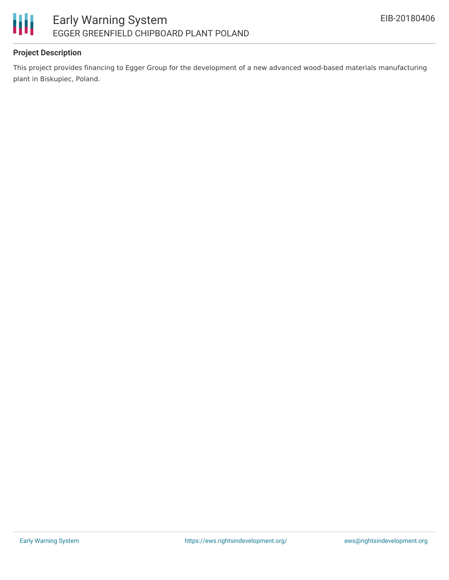

#### **Project Description**

This project provides financing to Egger Group for the development of a new advanced wood-based materials manufacturing plant in Biskupiec, Poland.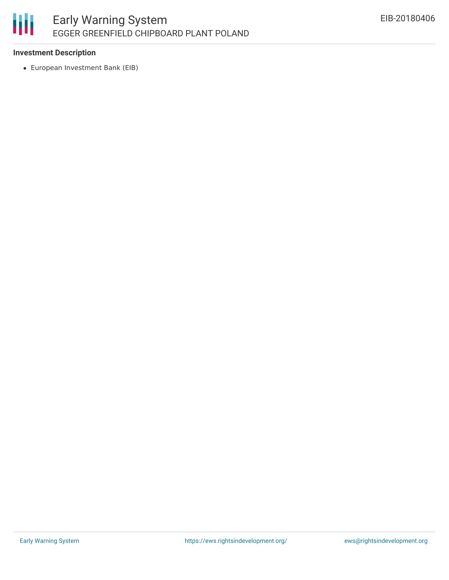# 冊

#### **Investment Description**

European Investment Bank (EIB)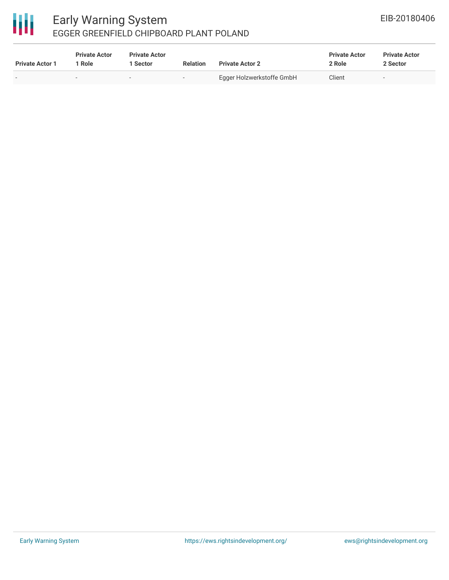## 冊

#### Early Warning System EGGER GREENFIELD CHIPBOARD PLANT POLAND

| <b>Private Actor 1</b> | <b>Private Actor</b><br>1 Role | <b>Private Actor</b><br>1 Sector | <b>Relation</b> | <b>Private Actor 2</b>    | <b>Private Actor</b><br>2 Role | <b>Private Actor</b><br>2 Sector |  |
|------------------------|--------------------------------|----------------------------------|-----------------|---------------------------|--------------------------------|----------------------------------|--|
|                        |                                | $\overline{\phantom{a}}$         | $\sim$          | Egger Holzwerkstoffe GmbH | Client                         | $\overline{\phantom{a}}$         |  |